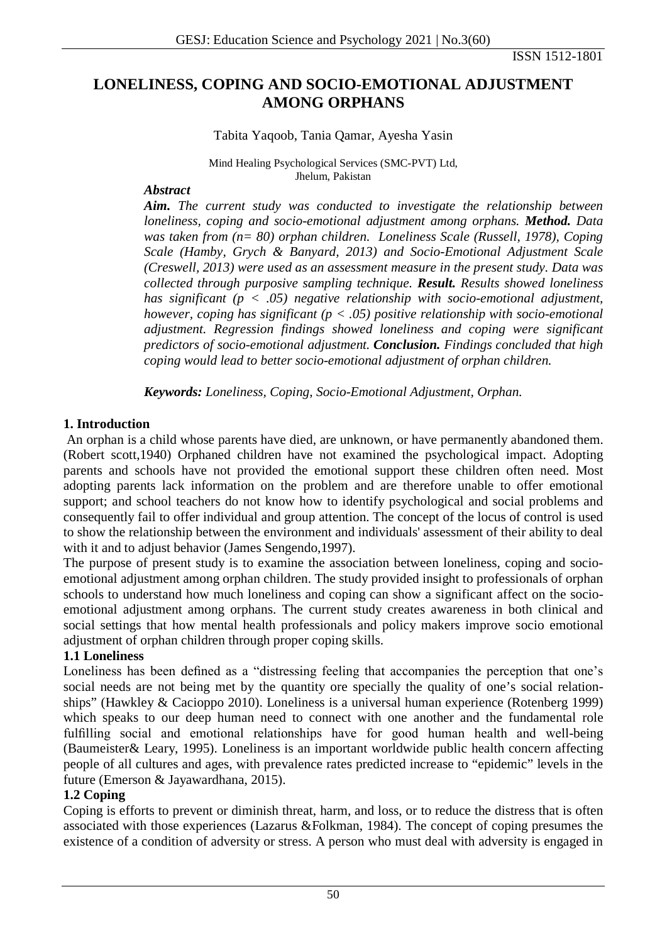ISSN 1512-1801

# **LONELINESS, COPING AND SOCIO-EMOTIONAL ADJUSTMENT AMONG ORPHANS**

Tabita Yaqoob, Tania Qamar, Ayesha Yasin

Mind Healing Psychological Services (SMC-PVT) Ltd, Jhelum, Pakistan

#### *Abstract*

*Aim. The current study was conducted to investigate the relationship between loneliness, coping and socio-emotional adjustment among orphans. Method. Data was taken from (n= 80) orphan children. Loneliness Scale (Russell, 1978), Coping Scale (Hamby, Grych & Banyard, 2013) and Socio-Emotional Adjustment Scale (Creswell, 2013) were used as an assessment measure in the present study. Data was collected through purposive sampling technique. Result. Results showed loneliness has significant (p < .05) negative relationship with socio-emotional adjustment, however, coping has significant (p < .05) positive relationship with socio-emotional adjustment. Regression findings showed loneliness and coping were significant predictors of socio-emotional adjustment. Conclusion. Findings concluded that high coping would lead to better socio-emotional adjustment of orphan children.*

*Keywords: Loneliness, Coping, Socio-Emotional Adjustment, Orphan.* 

## **1. Introduction**

An orphan is a child whose parents have died, are unknown, or have permanently abandoned them. (Robert scott,1940) Orphaned children have not examined the psychological impact. Adopting parents and schools have not provided the emotional support these children often need. Most adopting parents lack information on the problem and are therefore unable to offer emotional support; and school teachers do not know how to identify psychological and social problems and consequently fail to offer individual and group attention. The concept of the locus of control is used to show the relationship between the environment and individuals' assessment of their ability to deal with it and to adjust behavior (James Sengendo,1997).

The purpose of present study is to examine the association between loneliness, coping and socioemotional adjustment among orphan children. The study provided insight to professionals of orphan schools to understand how much loneliness and coping can show a significant affect on the socioemotional adjustment among orphans. The current study creates awareness in both clinical and social settings that how mental health professionals and policy makers improve socio emotional adjustment of orphan children through proper coping skills.

## **1.1 Loneliness**

Loneliness has been defined as a "distressing feeling that accompanies the perception that one's social needs are not being met by the quantity ore specially the quality of one's social relationships" (Hawkley & Cacioppo 2010). Loneliness is a universal human experience (Rotenberg 1999) which speaks to our deep human need to connect with one another and the fundamental role fulfilling social and emotional relationships have for good human health and well-being (Baumeister& Leary, 1995). Loneliness is an important worldwide public health concern affecting people of all cultures and ages, with prevalence rates predicted increase to "epidemic" levels in the future (Emerson & Jayawardhana, 2015).

## **1.2 Coping**

Coping is efforts to prevent or diminish threat, harm, and loss, or to reduce the distress that is often associated with those experiences (Lazarus &Folkman, 1984). The concept of coping presumes the existence of a condition of adversity or stress. A person who must deal with adversity is engaged in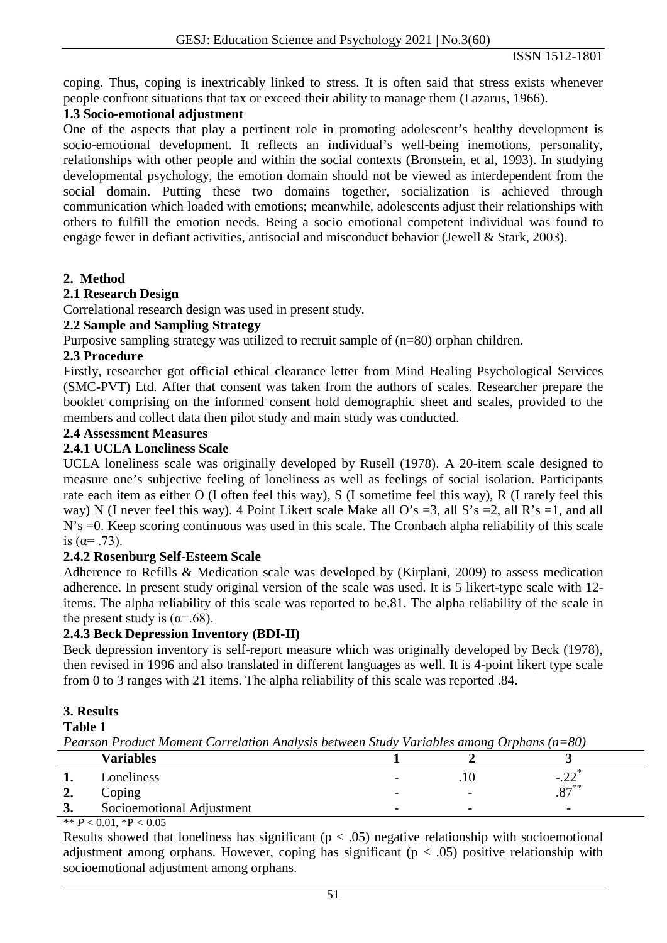coping. Thus, coping is inextricably linked to stress. It is often said that stress exists whenever people confront situations that tax or exceed their ability to manage them (Lazarus, 1966).

#### **1.3 Socio-emotional adjustment**

One of the aspects that play a pertinent role in promoting adolescent's healthy development is socio-emotional development. It reflects an individual's well-being inemotions, personality, relationships with other people and within the social contexts (Bronstein, et al, 1993). In studying developmental psychology, the emotion domain should not be viewed as interdependent from the social domain. Putting these two domains together, socialization is achieved through communication which loaded with emotions; meanwhile, adolescents adjust their relationships with others to fulfill the emotion needs. Being a socio emotional competent individual was found to engage fewer in defiant activities, antisocial and misconduct behavior (Jewell & Stark, 2003).

## **2. Method**

## **2.1 Research Design**

Correlational research design was used in present study.

## **2.2 Sample and Sampling Strategy**

Purposive sampling strategy was utilized to recruit sample of (n=80) orphan children.

#### **2.3 Procedure**

Firstly, researcher got official ethical clearance letter from Mind Healing Psychological Services (SMC-PVT) Ltd. After that consent was taken from the authors of scales. Researcher prepare the booklet comprising on the informed consent hold demographic sheet and scales, provided to the members and collect data then pilot study and main study was conducted.

#### **2.4 Assessment Measures**

## **2.4.1 UCLA Loneliness Scale**

UCLA loneliness scale was originally developed by Rusell (1978). A 20-item scale designed to measure one's subjective feeling of loneliness as well as feelings of social isolation. Participants rate each item as either O (I often feel this way), S (I sometime feel this way), R (I rarely feel this way) N (I never feel this way). 4 Point Likert scale Make all O's =3, all S's =2, all R's =1, and all N's  $=0$ . Keep scoring continuous was used in this scale. The Cronbach alpha reliability of this scale is  $(\alpha = .73)$ .

## **2.4.2 Rosenburg Self-Esteem Scale**

Adherence to Refills & Medication scale was developed by (Kirplani, 2009) to assess medication adherence. In present study original version of the scale was used. It is 5 likert-type scale with 12 items. The alpha reliability of this scale was reported to be.81. The alpha reliability of the scale in the present study is  $(\alpha = .68)$ .

## **2.4.3 Beck Depression Inventory (BDI-II)**

Beck depression inventory is self-report measure which was originally developed by Beck (1978), then revised in 1996 and also translated in different languages as well. It is 4-point likert type scale from 0 to 3 ranges with 21 items. The alpha reliability of this scale was reported .84.

#### **3. Results**

#### **Table 1**

*Pearson Product Moment Correlation Analysis between Study Variables among Orphans (n=80)*

|                   | <b>Variables</b>          |                          |                          |                          |
|-------------------|---------------------------|--------------------------|--------------------------|--------------------------|
|                   | Loneliness                |                          | . I U                    | $-.44$                   |
| ∸.                | $\bigcirc$ oping          |                          |                          | $0\pi^{**}$<br>، ٥،      |
| $\mathbf 2$<br>J. | Socioemotional Adjustment | $\overline{\phantom{0}}$ | $\overline{\phantom{a}}$ | $\overline{\phantom{0}}$ |

\*\*  $P < 0.01$ , \*P  $< 0.05$ 

Results showed that loneliness has significant ( $p < .05$ ) negative relationship with socioemotional adjustment among orphans. However, coping has significant ( $p < .05$ ) positive relationship with socioemotional adjustment among orphans.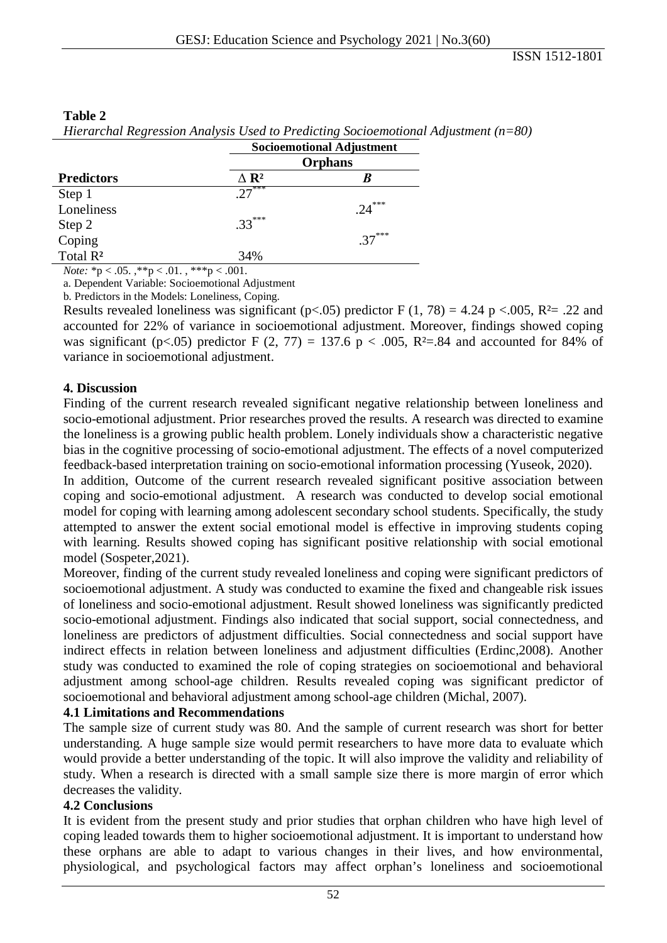| - 62                                                                                                                                                                                                                                                                                                                               | <b>Socioemotional Adjustment</b><br><b>Orphans</b> |          |  |
|------------------------------------------------------------------------------------------------------------------------------------------------------------------------------------------------------------------------------------------------------------------------------------------------------------------------------------|----------------------------------------------------|----------|--|
|                                                                                                                                                                                                                                                                                                                                    |                                                    |          |  |
| <b>Predictors</b>                                                                                                                                                                                                                                                                                                                  | $\Delta$ R <sup>2</sup>                            |          |  |
| Step 1                                                                                                                                                                                                                                                                                                                             | $.27***$                                           |          |  |
| Loneliness                                                                                                                                                                                                                                                                                                                         |                                                    | $.24***$ |  |
| Step 2                                                                                                                                                                                                                                                                                                                             | $.33***$                                           |          |  |
| Coping                                                                                                                                                                                                                                                                                                                             |                                                    | $37***$  |  |
| Total R <sup>2</sup>                                                                                                                                                                                                                                                                                                               | 34%                                                |          |  |
| $\mathbf{M}$ $\mathbf{v}$ $\mathbf{v}$ $\mathbf{v}$ $\mathbf{v}$ $\mathbf{v}$ $\mathbf{v}$ $\mathbf{v}$ $\mathbf{v}$ $\mathbf{v}$ $\mathbf{v}$ $\mathbf{v}$ $\mathbf{v}$ $\mathbf{v}$ $\mathbf{v}$ $\mathbf{v}$ $\mathbf{v}$ $\mathbf{v}$ $\mathbf{v}$ $\mathbf{v}$ $\mathbf{v}$ $\mathbf{v}$ $\mathbf{v}$ $\mathbf{v}$ $\mathbf{$ | 444.001                                            |          |  |

#### **Table 2**

*Hierarchal Regression Analysis Used to Predicting Socioemotional Adjustment (n=80)*

*Note:* \*p < .05. ,\*\*p < .01. , \*\*\*p < .001.

a. Dependent Variable: Socioemotional Adjustment

b. Predictors in the Models: Loneliness, Coping.

Results revealed loneliness was significant (p<.05) predictor F (1, 78) = 4.24 p <.005, R<sup>2</sup>= .22 and accounted for 22% of variance in socioemotional adjustment. Moreover, findings showed coping was significant (p<.05) predictor F (2, 77) = 137.6 p < .005, R<sup>2</sup>=.84 and accounted for 84% of variance in socioemotional adjustment.

#### **4. Discussion**

Finding of the current research revealed significant negative relationship between loneliness and socio-emotional adjustment. Prior researches proved the results. A research was directed to examine the loneliness is a growing public health problem. Lonely individuals show a characteristic negative bias in the cognitive processing of socio-emotional adjustment. The effects of a novel computerized feedback-based interpretation training on socio-emotional information processing (Yuseok, 2020).

In addition, Outcome of the current research revealed significant positive association between coping and socio-emotional adjustment. A research was conducted to develop social emotional model for coping with learning among adolescent secondary school students. Specifically, the study attempted to answer the extent social emotional model is effective in improving students coping with learning. Results showed coping has significant positive relationship with social emotional model (Sospeter,2021).

Moreover, finding of the current study revealed loneliness and coping were significant predictors of socioemotional adjustment. A study was conducted to examine the fixed and changeable risk issues of loneliness and socio-emotional adjustment. Result showed loneliness was significantly predicted socio-emotional adjustment. Findings also indicated that social support, social connectedness, and loneliness are predictors of adjustment difficulties. Social connectedness and social support have indirect effects in relation between loneliness and adjustment difficulties (Erdinc,2008). Another study was conducted to examined the role of coping strategies on socioemotional and behavioral adjustment among school-age children. Results revealed coping was significant predictor of socioemotional and behavioral adjustment among school-age children (Michal, 2007).

#### **4.1 Limitations and Recommendations**

The sample size of current study was 80. And the sample of current research was short for better understanding. A huge sample size would permit researchers to have more data to evaluate which would provide a better understanding of the topic. It will also improve the validity and reliability of study. When a research is directed with a small sample size there is more margin of error which decreases the validity.

#### **4.2 Conclusions**

It is evident from the present study and prior studies that orphan children who have high level of coping leaded towards them to higher socioemotional adjustment. It is important to understand how these orphans are able to adapt to various changes in their lives, and how environmental, physiological, and psychological factors may affect orphan's loneliness and socioemotional